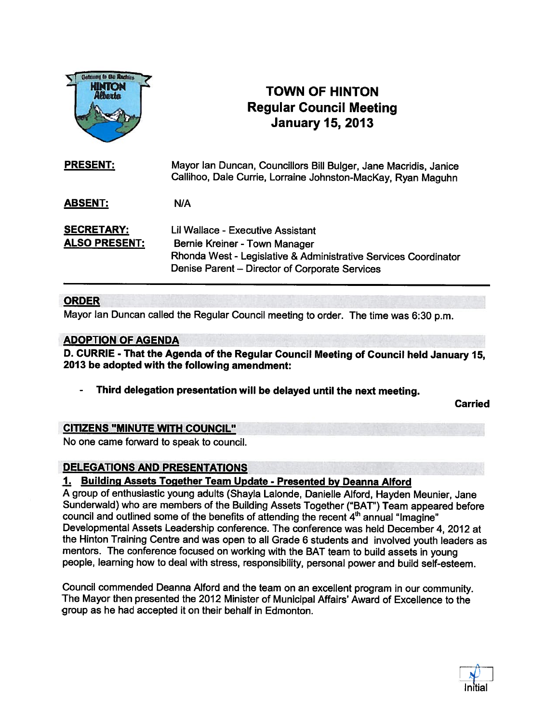

## TOWN OF HINTON Regular Council Meeting January 15, 2013

| <b>PRESENT:</b>                           | Mayor Ian Duncan, Councillors Bill Bulger, Jane Macridis, Janice<br>Callihoo, Dale Currie, Lorraine Johnston-MacKay, Ryan Maguhn                                                        |
|-------------------------------------------|-----------------------------------------------------------------------------------------------------------------------------------------------------------------------------------------|
| <b>ABSENT:</b>                            | N/A                                                                                                                                                                                     |
| <b>SECRETARY:</b><br><b>ALSO PRESENT:</b> | Lil Wallace - Executive Assistant<br>Bernie Kreiner - Town Manager<br>Rhonda West - Legislative & Administrative Services Coordinator<br>Denise Parent - Director of Corporate Services |

## ORDER

Mayor Ian Duncan called the Regular Council meeting to order. The time was 6:30 p.m.

## ADOPTION OF AGENDA

D. CURRIE - That the Agenda of the Regular Council Meeting of Council held January 15, 2013 be adopted with the following amendment:

Third delegation presentation will be delayed until the next meeting.

Carried

## CITIZENS "MINUTE WITH COUNCIL"

No one came forward to speak to council.

## DELEGATIONS AND PRESENTATIONS

## 1. Building Assets Together Team Update - Presented by Deanna Alford

<sup>A</sup> group of enthusiastic young adults (Shayla Lalonde, Danielle Alford, Hayden Meunier, Jane Sunderwald) who are members of the Building Assets Together ("BAT") Team appeared before council and outlined some of the benefits of attending the recent  $4<sup>th</sup>$  annual "Imagine" Developmental Assets Leadership conference. The conference was held December 4, 2012 at the Hinton Training Centre and was open to all Grade <sup>6</sup> students and involved youth leaders as mentors. The conference focused on working with the BAT team to build assets in young people, learning how to deal with stress, responsibility, persona<sup>l</sup> power and build self-esteem.

Council commended Deanna Alford and the team on an excellent program in our community. The Mayor then presented the 2012 Minister of Municipal Affairs' Award of Excellence to the group as he had accepted it on their behalf in Edmonton.

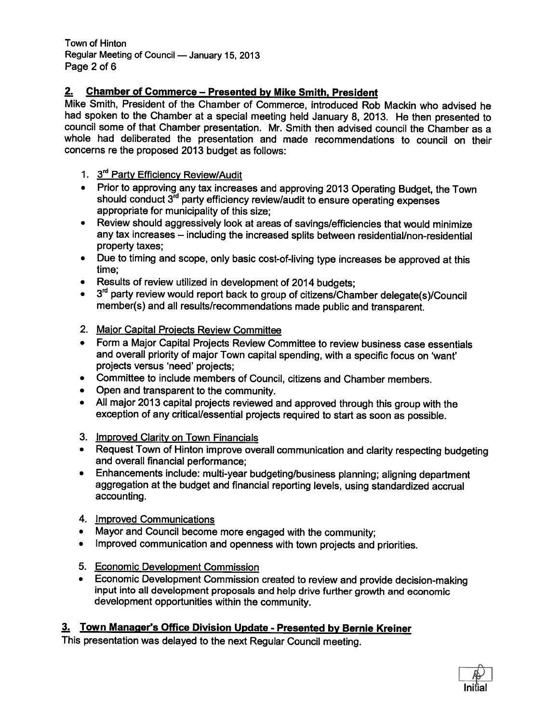Town of Hinton Regular Meeting of Council — January 15, 2013 Page 2 of 6

## 2. Chamber of Commerce — Presented by Mike Smith, President

Mike Smith, President of the Chamber of Commerce, introduced Rob Mackin who advised he had spoken to the Chamber at <sup>a</sup> special meeting held January 8, 2013. He then presented to council some of that Chamber presentation. Mr. Smith then advised council the Chamber as <sup>a</sup> whole had deliberated the presentation and made recommendations to council on their concerns re the proposed 2013 budget as follows:

## 1. 3<sup>rd</sup> Party Efficiency Review/Audit

- Prior to approving any tax increases and approving <sup>2013</sup> Operating Budget, the Town should conduct 3<sup>rd</sup> party efficiency review/audit to ensure operating expenses appropriate for municipality of this size;
- Review should aggressively look at areas of savings/efficiencies that would minimize any tax increases — including the increased splits between residential/non-residential property taxes;
- Due to timing and scope, only basic cost-of-living type increases be approved at this time;
- Results of review utilized in development of <sup>2014</sup> budgets;
- $3<sup>rd</sup>$  party review would report back to group of citizens/Chamber delegate(s)/Council member(s) and all results/recommendations made public and transparent.
- 2. Major Capital Projects Review Committee
- • Form <sup>a</sup> Major Capital Projects Review Committee to review business case essentials and overall priority of major Town capital spending, with <sup>a</sup> specific focus on 'want' projects versus 'need' projects;
- •Committee to include members of Council, citizens and Chamber members.
- •Open and transparent to the community.
- All major <sup>2013</sup> capital projects reviewed and approved through this group with the exception of any critical/essential projects required to start as soon as possible.
- 3. Improved Clarity on Town Financials
- Request Town of Hinton improve overall communication and clarity respecting budgeting and overall financial performance;
- • Enhancements include: multi-year budgeting/business <sup>p</sup>lanning; aligning department aggregation at the budget and financial reporting levels, using standardized accrual accounting.
- 4. Improved Communications
- •Mayor and Council become more engaged with the community;
- •Improved communication and openness with town projects and priorities.
- 
- 5. Economic Development Commission<br>• Economic Development Commission created to review and provide decision-making •input into all development proposals and help drive further growth and economic development opportunities within the community.

## 3. Town Manager's Office Division Update - Presented by Bernie Kreiner

This presentation was delayed to the next Regular Council meeting.

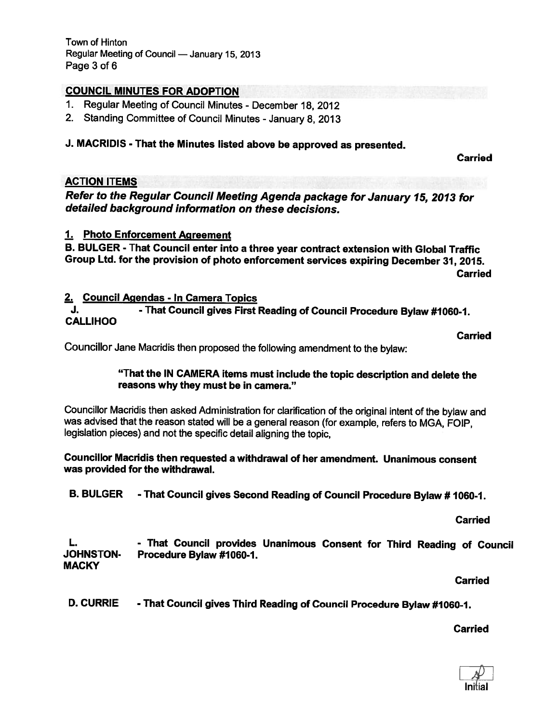## COUNCIL MINUTES FOR ADOPTION

- 1. Regular Meeting of Council Minutes December 18, 2012
- 2. Standing Committee of Council Minutes January 8, 2013

## J. MACRIDIS - That the Minutes listed above be approved as presented.

Carried

## ACTION ITEMS

Refer to the Regular Council Meeting Agenda package for January 15, <sup>2013</sup> for detailed background information on these decisions.

## 1. Photo Enforcement Agreement

B. BULGER - That Council enter into <sup>a</sup> three year contract extension with Global Traffic Group Ltd. for the provision of <sup>p</sup>hoto enforcement services expiring December 31, 2015. **Carried** 

## 2. Council Agendas - In Camera Topics

J. That Council gives First Reading of Council Procedure Bylaw #1060-1. **CALLIHOO** 

Carried

Councillor Jane Macridis then proposed the following amendment to the bylaw:

## "That the IN CAMERA items must include the topic description and delete the reasons why they must be in camera."

Councillor Macridis then asked Administration for clarification of the original intent of the bylaw and was advised that the reason stated will be <sup>a</sup> general reason (for example, refers to MGA, FOIP, legislation <sup>p</sup>ieces) and not the specific detail aligning the topic,

Councillor Macridis then requested <sup>a</sup> withdrawal of her amendment. Unanimous consent was provided for the withdrawal.

B. BULGER - That Council gives Second Reading of Council Procedure Bylaw # 1060-1.

Carried

L. - That Council provides Unanimous Consent for Third Reading of Council JOHNSTON- Procedure Bylaw #1060-1. **MACKY** 

Carried

D. CURRIE - That Council gives Third Reading of Council Procedure Bylaw #1060-1.

**Carried** 

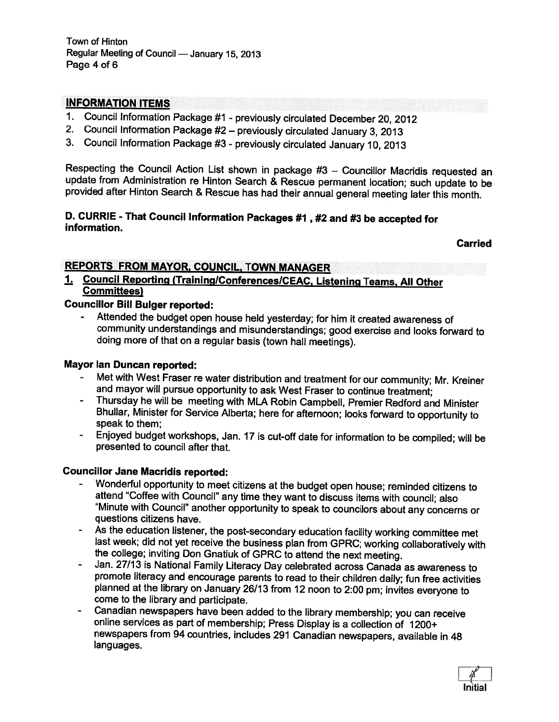## INFORMATION ITEMS

- 1. Council Information Package #1 previously circulated December 20, <sup>2012</sup>
- 2. Council Information Package #2 previously circulated January 3, <sup>2013</sup>
- 3. Council Information Package #3 previously circulated January 10, <sup>2013</sup>

Respecting the Council Action List shown in package #3 - Councillor Macridis requested an update from Administration re Hinton Search & Rescue permanent location; such update to be provided after Hinton Search & Rescue has

# D. CURRIE - That Council Information Packages #1 , #2 and #3 be accepted for information.

Carried

## REPORTS FROM MAYOR, COUNCIL, TOWN MANAGER

# 1. Council Reporting (Training/Conferences/CEAC, Listening Teams, All Other<br>Committees)

## Councillor Bill Bulger reported:

 Attended the budget open house held yesterday; for him it created awareness of community understandings and misunderstandings; good exercise and looks forward to doing more of that on <sup>a</sup> regular basis (town hall meetings).

- Mayor Ian Duncan reported:<br>Fraser re water distribution and treatment for our community; Mr. Kreiner Met with West Fraser re water distribution and treatment for our community; Mr. Kreiner and mayor will pursue opportunity to ask West Fraser to continue treatment;
	- Thursday he will be meeting with MLA Robin Campbell, Premier Redford and Minister Bhullar, Minister for Service Alberta; here for afternoon; looks forward to opportunity to speak to them;
	- Enjoyed budget workshops, Jan. <sup>17</sup> is cut-off date for information to be compiled; will be presented to council after that.

## Councillor Jane Macridis reported:

- Wonderful opportunity to meet citizens at the budget open house; reminded citizens to attend "Coffee with Council" any time they want to discuss items with council; also "Minute with Council" another opportunity to speak to councilors about any concerns or questions citizens have.
- As the education listener, the post-secondary education facility working committee met<br>last week; did not yet receive the business plan from GPRC; working collaboratively with<br>the college; inviting Don Gnatiuk of GPRC to
- Jan. 27/13 is National Family Literacy Day celebrated across Canada as awareness to promote literacy and encourage parents to read to their children daily; fun free activities <sup>p</sup>lanned at the library on January 26/13 from <sup>12</sup> noon to 2:00 pm; invites everyone to come to the library and participate.<br>Canadian newspapers have been added to the library membership; you can receive
- online services as part of membership; Press Display is a collection of 1200+ newspapers from <sup>94</sup> countries, includes <sup>291</sup> Canadian newspapers, available in <sup>48</sup> languages.

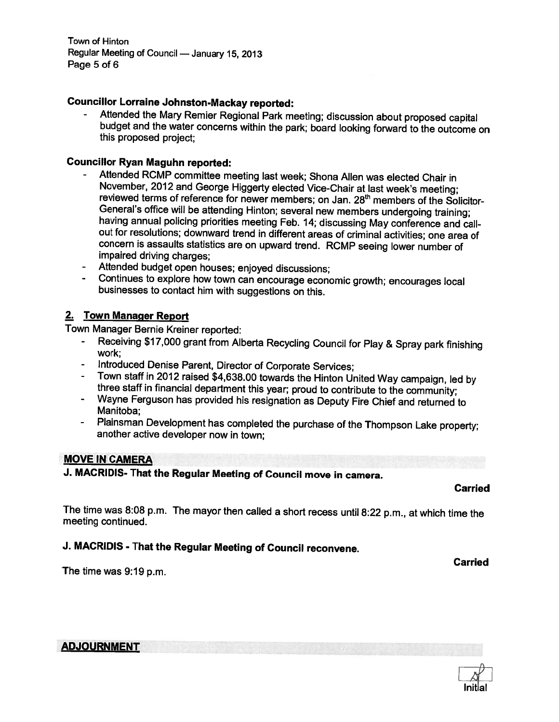Councillor Lorraine Johnston-Mackay reported:<br>- Attended the Mary Remier Regional Park meeting; discussion about proposed capital budget and the water concerns within the park; board looking forward to the outcome on this proposed project;

## Councillor Ryan Maguhn reported:

- Attended RCMP committee meeting last week; Shona Allen was elected Chair in reviewed terms of reference for newer members; on Jan. 28<sup>th</sup> members of the Solicitor-General's office will be attending Hinton; several new members undergoing training: having annual policing priorities meeting Feb. 14; discussing May conference and callout for resolutions; downward trend in different areas of criminal activities; one area of concern is assaults statistics are on upward trend. RCMP seeing lower number of impaired driving charges;
- Attended budget open houses; enjoyed discussions;
- Continues to explore how town can encourage economic growth; encourages local businesses to contact him with suggestions on this.

## 2. Town Manager Report

Town Manager Bernie Kreiner reported:

- Receiving \$17,000 grant from Alberta Recycling Council for Play & Spray par<sup>k</sup> finishing work;
- 
- Introduced Denise Parent, Director of Corporate Services;<br>Town staff in 2012 raised \$4,638.00 towards the Hinton United Way campaign, led by three staff in financial department this year; proud to contribute to the community;
- Wayne Ferguson has provided his resignation as Deputy Fire Chief and returned to Manitoba;
- Plainsman Development has completed the purchase of the Thompson Lake property; another active developer now in town;

### MOVE IN CAMERA

J. MACRIDIS- That the Regular Meeting of Council move in camera.

### Carried

The time was 8:08 p.m. The mayor then called <sup>a</sup> short recess until 8:22 p.m., at which time the meeting continued.

## J. MACRIDIS - That the Regular Meeting of Council reconvene.

Carried

The time was 9:19 p.m.

## ADJOURNMENT